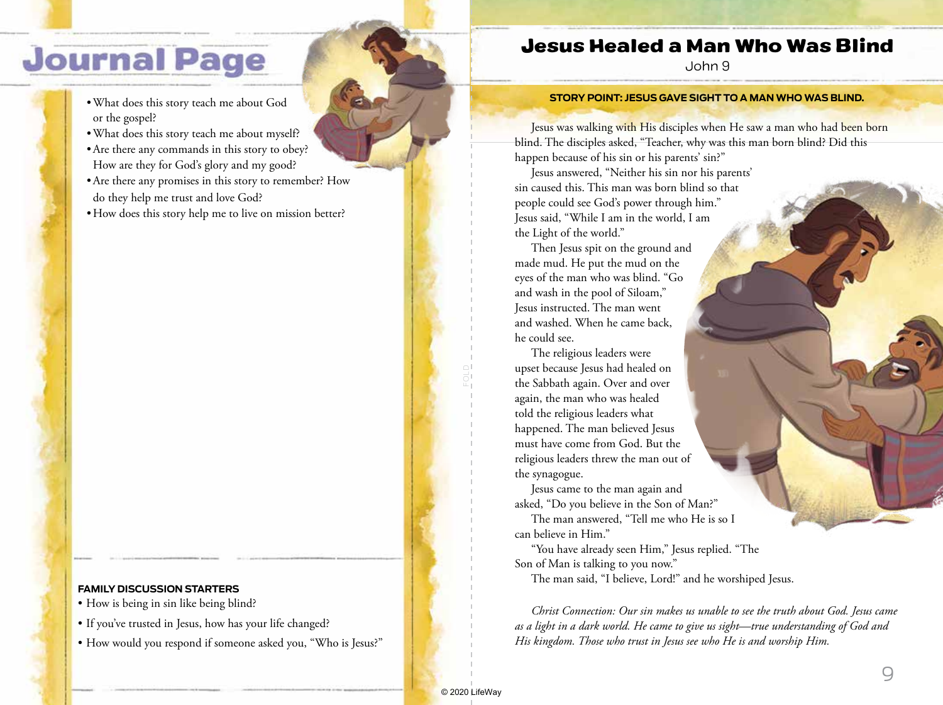# **Journal Page**

- •What does this story teach me about God or the gospel?
- •What does this story teach me about myself?
- •Are there any commands in this story to obey? How are they for God's glory and my good?
- •Are there any promises in this story to remember? How do they help me trust and love God?
- How does this story help me to live on mission better?

#### **FAMILY DISCUSSION STARTERS**

- How is being in sin like being blind?
- If you've trusted in Jesus, how has your life changed?
- How would you respond if someone asked you, "Who is Jesus?"

### Jesus Healed a Man Who Was Blind

John 9

#### **STORY POINT: JESUS GAVE SIGHT TO A MAN WHO WAS BLIND.**

Jesus was walking with His disciples when He saw a man who had been born blind. The disciples asked, "Teacher, why was this man born blind? Did this happen because of his sin or his parents' sin?"

Jesus answered, "Neither his sin nor his parents' sin caused this. This man was born blind so that people could see God's power through him." Jesus said, "While I am in the world, I am the Light of the world."

Then Jesus spit on the ground and made mud. He put the mud on the eyes of the man who was blind. "Go and wash in the pool of Siloam," Jesus instructed. The man went and washed. When he came back, he could see.

The religious leaders were upset because Jesus had healed on the Sabbath again. Over and over again, the man who was healed told the religious leaders what happened. The man believed Jesus must have come from God. But the religious leaders threw the man out of the synagogue.

Jesus came to the man again and asked, "Do you believe in the Son of Man?"

The man answered, "Tell me who He is so I can believe in Him."

"You have already seen Him," Jesus replied. "The Son of Man is talking to you now."

The man said, "I believe, Lord!" and he worshiped Jesus.

*Christ Connection: Our sin makes us unable to see the truth about God. Jesus came as a light in a dark world. He came to give us sight—true understanding of God and His kingdom. Those who trust in Jesus see who He is and worship Him.*